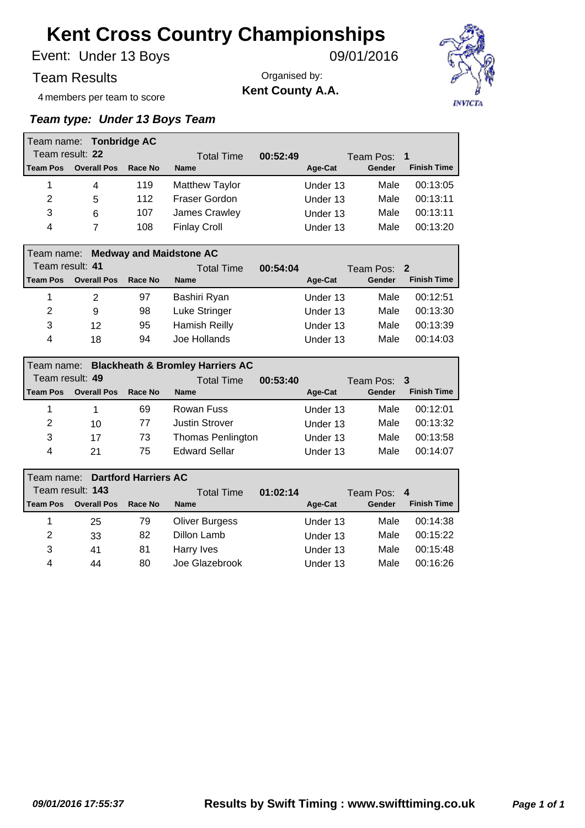Under 13 Boys Event: 09/01/2016

Team Results

Organised by: **Kent County A.A.**



4 members per team to score

#### *Team type: Under 13 Boys Team*

|                 | Team name: Tonbridge AC            |         |                       |          |          |             |                    |
|-----------------|------------------------------------|---------|-----------------------|----------|----------|-------------|--------------------|
| Team result: 22 |                                    |         | Total Time            | 00:52:49 |          | Team Pos: 1 |                    |
| l Team Pos      | <b>Overall Pos</b>                 | Race No | <b>Name</b>           |          | Age-Cat  | Gender      | <b>Finish Time</b> |
| 1               | 4                                  | 119     | <b>Matthew Taylor</b> |          | Under 13 | Male        | 00:13:05           |
| 2               | 5                                  | 112     | Fraser Gordon         |          | Under 13 | Male        | 00:13:11           |
| 3               | 6                                  | 107     | James Crawley         |          | Under 13 | Male        | 00:13:11           |
| 4               | 7                                  | 108     | <b>Finlay Croll</b>   |          | Under 13 | Male        | 00:13:20           |
|                 |                                    |         |                       |          |          |             |                    |
|                 | Team name: Medway and Maidstone AC |         |                       |          |          |             |                    |
| Team result: 41 |                                    |         | <b>Total Time</b>     | 00:54:04 |          | Team Pos: 2 |                    |
| l Team Pos      | <b>Overall Pos</b>                 | Race No | <b>Name</b>           |          | Age-Cat  | Gender      | <b>Finish Time</b> |
| 1               | 2                                  | 97      | Bashiri Ryan          |          | Under 13 | Male        | 00:12:51           |
| $\overline{2}$  | 9                                  | 98      | Luke Stringer         |          | Under 13 | Male        | 00:13:30           |
| 3               | 12                                 | 95      | Hamish Reilly         |          | Under 13 | Male        | 00:13:39           |

|                 | <b>Blackheath &amp; Bromley Harriers AC</b><br>l Team name: |         |                          |          |          |             |                    |  |  |  |  |
|-----------------|-------------------------------------------------------------|---------|--------------------------|----------|----------|-------------|--------------------|--|--|--|--|
| Team result: 49 |                                                             |         | <b>Total Time</b>        | 00:53:40 |          | Team Pos: 3 |                    |  |  |  |  |
| l Team Pos      | <b>Overall Pos</b>                                          | Race No | <b>Name</b>              |          | Age-Cat  | Gender      | <b>Finish Time</b> |  |  |  |  |
|                 |                                                             | 69      | Rowan Fuss               |          | Under 13 | Male        | 00:12:01           |  |  |  |  |
| 2               | 10                                                          | 77      | <b>Justin Strover</b>    |          | Under 13 | Male        | 00:13:32           |  |  |  |  |
| 3               | 17                                                          | 73      | <b>Thomas Penlington</b> |          | Under 13 | Male        | 00:13:58           |  |  |  |  |
| 4               | 21                                                          | 75      | <b>Edward Sellar</b>     |          | Under 13 | Male        | 00:14:07           |  |  |  |  |

|                 | Team name: Dartford Harriers AC |         |                   |          |          |             |                    |
|-----------------|---------------------------------|---------|-------------------|----------|----------|-------------|--------------------|
|                 | Team result: 143                |         | <b>Total Time</b> | 01:02:14 |          | Team Pos: 4 |                    |
| <b>Team Pos</b> | <b>Overall Pos</b>              | Race No | <b>Name</b>       |          | Age-Cat  | Gender      | <b>Finish Time</b> |
| 1               | 25                              | 79      | Oliver Burgess    |          | Under 13 | Male        | 00:14:38           |
| 2               | 33                              | 82      | Dillon Lamb       |          | Under 13 | Male        | 00:15:22           |
| 3               | 41                              | 81      | Harry Ives        |          | Under 13 | Male        | 00:15:48           |
| 4               | 44                              | 80      | Joe Glazebrook    |          | Under 13 | Male        | 00:16:26           |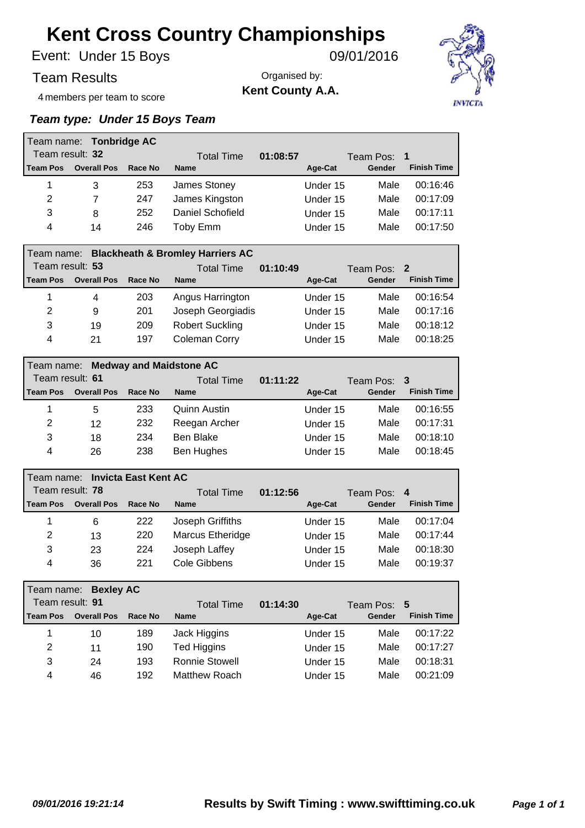Under 15 Boys Event: 09/01/2016

Team Results

Organised by: **Kent County A.A.**



4 members per team to score

#### *Team type: Under 15 Boys Team*

|                                             | Team name: Tonbridge AC |         |                  |          |          |             |                    |
|---------------------------------------------|-------------------------|---------|------------------|----------|----------|-------------|--------------------|
| Team result: 32                             |                         |         | Total Time       | 01:08:57 |          | Team Pos: 1 |                    |
| l Team Pos                                  | <b>Overall Pos</b>      | Race No | <b>Name</b>      |          | Age-Cat  | Gender      | <b>Finish Time</b> |
| 1                                           | 3                       | 253     | James Stoney     |          | Under 15 | Male        | 00:16:46           |
| 2                                           | 7                       | 247     | James Kingston   |          | Under 15 | Male        | 00:17:09           |
| 3                                           | 8                       | 252     | Daniel Schofield |          | Under 15 | Male        | 00:17:11           |
| 4                                           | 14                      | 246     | Toby Emm         |          | Under 15 | Male        | 00:17:50           |
| the company's company's company's company's |                         |         |                  |          |          |             |                    |

|                 |                    |         | Team name: Blackheath & Bromley Harriers AC |          |          |             |                    |
|-----------------|--------------------|---------|---------------------------------------------|----------|----------|-------------|--------------------|
| Team result: 53 |                    |         | <b>Total Time</b>                           | 01:10:49 |          | Team Pos: 2 |                    |
| <b>Team Pos</b> | <b>Overall Pos</b> | Race No | <b>Name</b>                                 |          | Age-Cat  | Gender      | <b>Finish Time</b> |
|                 | 4                  | 203     | Angus Harrington                            |          | Under 15 | Male        | 00:16:54           |
| 2               | 9                  | 201     | Joseph Georgiadis                           |          | Under 15 | Male        | 00:17:16           |
| 3               | 19                 | 209     | <b>Robert Suckling</b>                      |          | Under 15 | Male        | 00:18:12           |
| 4               | 21                 | 197     | Coleman Corry                               |          | Under 15 | Male        | 00:18:25           |

|                 | Team name: Medway and Maidstone AC |         |                   |          |             |                    |  |  |  |  |
|-----------------|------------------------------------|---------|-------------------|----------|-------------|--------------------|--|--|--|--|
| Team result: 61 |                                    |         | <b>Total Time</b> | 01:11:22 | Team Pos: 3 |                    |  |  |  |  |
| l Team Pos      | <b>Overall Pos</b>                 | Race No | <b>Name</b>       | Age-Cat  | Gender      | <b>Finish Time</b> |  |  |  |  |
| 1               | 5                                  | 233     | Quinn Austin      | Under 15 | Male        | 00:16:55           |  |  |  |  |
| 2               | 12                                 | 232     | Reegan Archer     | Under 15 | Male        | 00:17:31           |  |  |  |  |
| 3               | 18                                 | 234     | Ben Blake         | Under 15 | Male        | 00:18:10           |  |  |  |  |
| 4               | 26                                 | 238     | Ben Hughes        | Under 15 | Male        | 00:18:45           |  |  |  |  |

|                 | Team name: Invicta East Kent AC |         |                         |          |          |             |                    |  |  |  |  |
|-----------------|---------------------------------|---------|-------------------------|----------|----------|-------------|--------------------|--|--|--|--|
| Team result: 78 |                                 |         | <b>Total Time</b>       | 01:12:56 |          | Team Pos: 4 |                    |  |  |  |  |
| <b>Team Pos</b> | <b>Overall Pos</b>              | Race No | <b>Name</b>             |          | Age-Cat  | Gender      | <b>Finish Time</b> |  |  |  |  |
| 1               | 6                               | 222     | Joseph Griffiths        |          | Under 15 | Male        | 00:17:04           |  |  |  |  |
| 2               | 13                              | 220     | <b>Marcus Etheridge</b> |          | Under 15 | Male        | 00:17:44           |  |  |  |  |
| 3               | 23                              | 224     | Joseph Laffey           |          | Under 15 | Male        | 00:18:30           |  |  |  |  |
| 4               | 36                              | 221     | Cole Gibbens            |          | Under 15 | Male        | 00:19:37           |  |  |  |  |

|                 | Team name: Bexley AC |         |                       |          |          |             |                    |
|-----------------|----------------------|---------|-----------------------|----------|----------|-------------|--------------------|
| Team result: 91 |                      |         | <b>Total Time</b>     | 01:14:30 |          | Team Pos: 5 |                    |
| <b>Team Pos</b> | <b>Overall Pos</b>   | Race No | <b>Name</b>           |          | Age-Cat  | Gender      | <b>Finish Time</b> |
|                 | 10                   | 189     | Jack Higgins          |          | Under 15 | Male        | 00:17:22           |
| 2               | 11                   | 190     | Ted Higgins           |          | Under 15 | Male        | 00:17:27           |
| 3               | 24                   | 193     | <b>Ronnie Stowell</b> |          | Under 15 | Male        | 00:18:31           |
| 4               | 46                   | 192     | Matthew Roach         |          | Under 15 | Male        | 00:21:09           |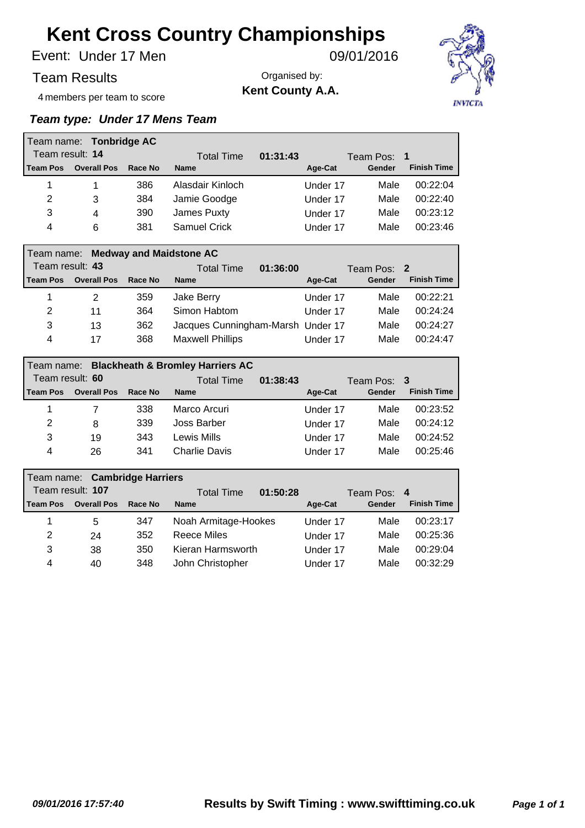Under 17 Men Event: 09/01/2016

Team Results

Organised by: **Kent County A.A.**



4 members per team to score

#### *Team type: Under 17 Mens Team*

|                 | Team name: Tonbridge AC            |         |                                   |          |          |             |                    |
|-----------------|------------------------------------|---------|-----------------------------------|----------|----------|-------------|--------------------|
| Team result: 14 |                                    |         | <b>Total Time</b>                 | 01:31:43 |          | Team Pos: 1 |                    |
| Team Pos        | <b>Overall Pos</b>                 | Race No | <b>Name</b>                       |          | Age-Cat  | Gender      | <b>Finish Time</b> |
| 1               | 1                                  | 386     | Alasdair Kinloch                  |          | Under 17 | Male        | 00:22:04           |
| $\overline{2}$  | 3                                  | 384     | Jamie Goodge                      |          | Under 17 | Male        | 00:22:40           |
| 3               | 4                                  | 390     | James Puxty                       |          | Under 17 | Male        | 00:23:12           |
| 4               | 6                                  | 381     | <b>Samuel Crick</b>               |          | Under 17 | Male        | 00:23:46           |
|                 |                                    |         |                                   |          |          |             |                    |
|                 | Team name: Medway and Maidstone AC |         |                                   |          |          |             |                    |
| Team result: 43 |                                    |         | <b>Total Time</b>                 | 01:36:00 |          | Team Pos: 2 |                    |
| Team Pos        | <b>Overall Pos</b>                 | Race No | <b>Name</b>                       |          | Age-Cat  | Gender      | <b>Finish Time</b> |
| 1               | $\overline{2}$                     | 359     | Jake Berry                        |          | Under 17 | Male        | 00:22:21           |
| 2               | 11                                 | 364     | Simon Habtom                      |          | Under 17 | Male        | 00:24:24           |
| 3               | 13                                 | 362     | Jacques Cunningham-Marsh Under 17 |          |          | Male        | 00:24:27           |

| l Team name:<br>Team result: 60 |                    |         | <b>Blackheath &amp; Bromley Harriers AC</b><br>Total Time | 01:38:43 |          | Team Pos: 3 |                    |
|---------------------------------|--------------------|---------|-----------------------------------------------------------|----------|----------|-------------|--------------------|
| <b>Team Pos</b>                 | <b>Overall Pos</b> | Race No | <b>Name</b>                                               |          | Age-Cat  | Gender      | <b>Finish Time</b> |
|                                 |                    | 338     | Marco Arcuri                                              |          | Under 17 | Male        | 00:23:52           |
| 2                               | 8                  | 339     | Joss Barber                                               |          | Under 17 | Male        | 00:24:12           |
| 3                               | 19                 | 343     | Lewis Mills                                               |          | Under 17 | Male        | 00:24:52           |
| 4                               | 26                 | 341     | <b>Charlie Davis</b>                                      |          | Under 17 | Male        | 00:25:46           |

4 17 368 Maxwell Phillips Under 17 Male 00:24:47

|                 | Team name: Cambridge Harriers |         |                               |          |             |                    |
|-----------------|-------------------------------|---------|-------------------------------|----------|-------------|--------------------|
|                 | Team result: 107              |         | 01:50:28<br><b>Total Time</b> |          | Team Pos: 4 |                    |
| <b>Team Pos</b> | <b>Overall Pos</b>            | Race No | <b>Name</b>                   | Age-Cat  | Gender      | <b>Finish Time</b> |
| 1               | 5                             | 347     | Noah Armitage-Hookes          | Under 17 | Male        | 00:23:17           |
| 2               | 24                            | 352     | Reece Miles                   | Under 17 | Male        | 00:25:36           |
| 3               | 38                            | 350     | Kieran Harmsworth             | Under 17 | Male        | 00:29:04           |
| 4               | 40                            | 348     | John Christopher              | Under 17 | Male        | 00:32:29           |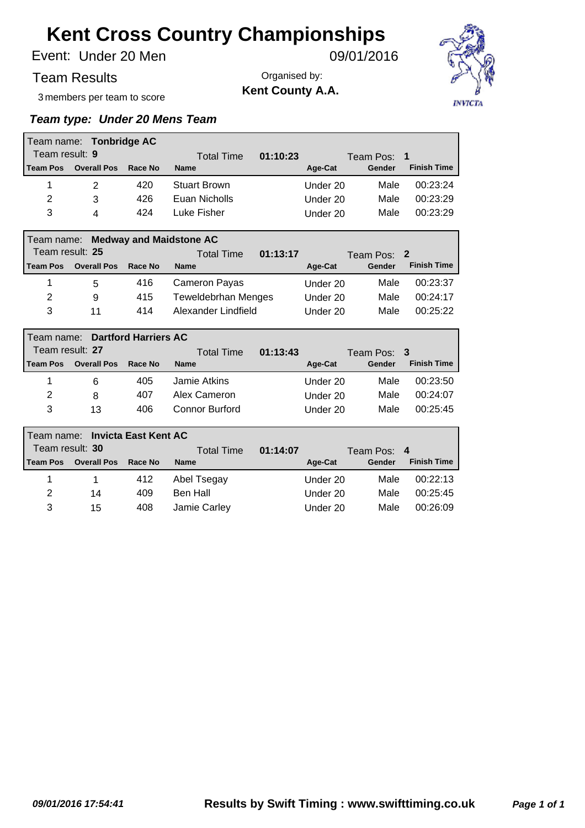Under 20 Men Event: 09/01/2016

Team Results

Organised by: **Kent County A.A.**



3 members per team to score

#### *Team type: Under 20 Mens Team*

|                 | Team name: Tonbridge AC |                             |                                |          |          |             |                    |
|-----------------|-------------------------|-----------------------------|--------------------------------|----------|----------|-------------|--------------------|
| Team result: 9  |                         |                             | <b>Total Time</b>              | 01:10:23 |          | Team Pos:   | 1                  |
| <b>Team Pos</b> | <b>Overall Pos</b>      | Race No                     | <b>Name</b>                    |          | Age-Cat  | Gender      | <b>Finish Time</b> |
| 1               | $\overline{2}$          | 420                         | Stuart Brown                   |          | Under 20 | Male        | 00:23:24           |
| 2               | 3                       | 426                         | Euan Nicholls                  |          | Under 20 | Male        | 00:23:29           |
| 3               | 4                       | 424                         | Luke Fisher                    |          | Under 20 | Male        | 00:23:29           |
|                 |                         |                             |                                |          |          |             |                    |
| Team name:      |                         |                             | <b>Medway and Maidstone AC</b> |          |          |             |                    |
| Team result: 25 |                         |                             | <b>Total Time</b>              | 01:13:17 |          | Team Pos: 2 |                    |
| <b>Team Pos</b> | <b>Overall Pos</b>      | Race No                     | <b>Name</b>                    |          | Age-Cat  | Gender      | <b>Finish Time</b> |
| 1               | 5                       | 416                         | Cameron Payas                  |          | Under 20 | Male        | 00:23:37           |
| 2               | 9                       | 415                         | <b>Teweldebrhan Menges</b>     |          | Under 20 | Male        | 00:24:17           |
| 3               | 11                      | 414                         | Alexander Lindfield            |          | Under 20 | Male        | 00:25:22           |
|                 |                         |                             |                                |          |          |             |                    |
| Team name:      |                         | <b>Dartford Harriers AC</b> |                                |          |          |             |                    |
| Team result: 27 |                         |                             | <b>Total Time</b>              | 01:13:43 |          | Team Pos:   | 3                  |
| <b>Team Pos</b> | <b>Overall Pos</b>      | Race No                     | <b>Name</b>                    |          | Age-Cat  | Gender      | <b>Finish Time</b> |
| 1               | 6                       | 405                         | <b>Jamie Atkins</b>            |          | Under 20 | Male        | 00:23:50           |
| 2               | 8                       | 407                         | Alex Cameron                   |          | Under 20 | Male        | 00:24:07           |
| 3               | 13                      | 406                         | Connor Burford                 |          | Under 20 | Male        | 00:25:45           |

|                 | Team name: Invicta East Kent AC |                        |              |             |          |        |                    |  |  |  |
|-----------------|---------------------------------|------------------------|--------------|-------------|----------|--------|--------------------|--|--|--|
| Team result: 30 |                                 | 01:14:07<br>Total Time |              | Team Pos: 4 |          |        |                    |  |  |  |
| <b>Team Pos</b> | <b>Overall Pos</b>              | Race No                | <b>Name</b>  |             | Age-Cat  | Gender | <b>Finish Time</b> |  |  |  |
|                 |                                 | 412                    | Abel Tsegay  |             | Under 20 | Male   | 00:22:13           |  |  |  |
| 2               | 14                              | 409                    | Ben Hall     |             | Under 20 | Male   | 00:25:45           |  |  |  |
| 3               | 15                              | 408                    | Jamie Carley |             | Under 20 | Male   | 00:26:09           |  |  |  |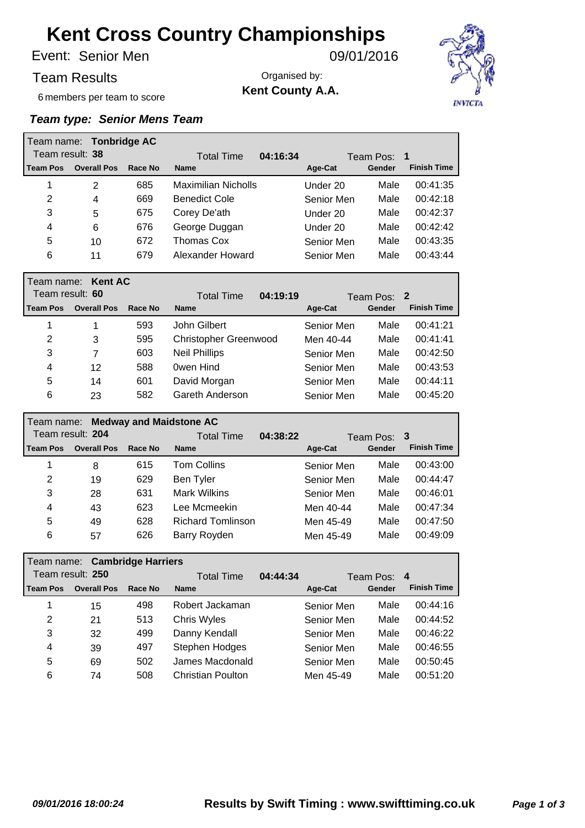Senior Men Event: 09/01/2016

Team Results

Organised by:

**Kent County A.A.**



6 members per team to score

|                 | Team name: Tonbridge AC |         |                               |            |           |                    |
|-----------------|-------------------------|---------|-------------------------------|------------|-----------|--------------------|
| Team result: 38 |                         |         | 04:16:34<br><b>Total Time</b> |            | Team Pos: | 1                  |
| <b>Team Pos</b> | <b>Overall Pos</b>      | Race No | <b>Name</b>                   | Age-Cat    | Gender    | <b>Finish Time</b> |
| 1               | $\overline{2}$          | 685     | <b>Maximilian Nicholls</b>    | Under 20   | Male      | 00:41:35           |
| 2               | 4                       | 669     | <b>Benedict Cole</b>          | Senior Men | Male      | 00:42:18           |
| 3               | 5                       | 675     | Corey De'ath                  | Under 20   | Male      | 00:42:37           |
| 4               | 6                       | 676     | George Duggan                 | Under 20   | Male      | 00:42:42           |
| 5               | 10                      | 672     | Thomas Cox                    | Senior Men | Male      | 00:43:35           |
| 6               | 11                      | 679     | Alexander Howard              | Senior Men | Male      | 00:43:44           |
|                 |                         |         |                               |            |           |                    |
| Team name:      | <b>Kent AC</b>          |         |                               |            |           |                    |
| Team result: 60 |                         |         | <b>Total Time</b><br>04:19:19 |            | Team Pos: | $\mathbf{2}$       |
| <b>Team Pos</b> | <b>Overall Pos</b>      | Race No | <b>Name</b>                   | Age-Cat    | Gender    | <b>Finish Time</b> |
| 1               | 1                       | 593     | John Gilbert                  | Senior Men | Male      | 00:41:21           |
| 2               | 3                       | 595     | <b>Christopher Greenwood</b>  | Men 40-44  | Male      | 00:41:41           |
| 3               | $\overline{7}$          | 603     | <b>Neil Phillips</b>          | Senior Men | Male      | 00:42:50           |
| 4               | 12                      | 588     | Owen Hind                     | Senior Men | Male      | 00:43:53           |
| 5               | 14                      | 601     | David Morgan                  | Senior Men | Male      | 00:44:11           |

|                 | Team name: Medway and Maidstone AC |         |                          |          |            |             |                    |  |  |  |
|-----------------|------------------------------------|---------|--------------------------|----------|------------|-------------|--------------------|--|--|--|
|                 | Team result: 204                   |         | <b>Total Time</b>        | 04:38:22 |            | Team Pos: 3 |                    |  |  |  |
| <b>Team Pos</b> | <b>Overall Pos</b>                 | Race No | <b>Name</b>              |          | Age-Cat    | Gender      | <b>Finish Time</b> |  |  |  |
| 1               | 8                                  | 615     | Tom Collins              |          | Senior Men | Male        | 00:43:00           |  |  |  |
| 2               | 19                                 | 629     | Ben Tyler                |          | Senior Men | Male        | 00:44:47           |  |  |  |
| 3               | 28                                 | 631     | <b>Mark Wilkins</b>      |          | Senior Men | Male        | 00:46:01           |  |  |  |
| 4               | 43                                 | 623     | Lee Mcmeekin             |          | Men 40-44  | Male        | 00:47:34           |  |  |  |
| 5               | 49                                 | 628     | <b>Richard Tomlinson</b> |          | Men 45-49  | Male        | 00:47:50           |  |  |  |
| 6               | 57                                 | 626     | Barry Royden             |          | Men 45-49  | Male        | 00:49:09           |  |  |  |

|                  | Team name: Cambridge Harriers |         |                    |            |             |                    |  |  |  |  |
|------------------|-------------------------------|---------|--------------------|------------|-------------|--------------------|--|--|--|--|
| Team result: 250 |                               |         | Total Time         | 04:44:34   | Team Pos: 4 |                    |  |  |  |  |
| <b>Team Pos</b>  | <b>Overall Pos</b>            | Race No | <b>Name</b>        | Age-Cat    | Gender      | <b>Finish Time</b> |  |  |  |  |
|                  | 15                            | 498     | Robert Jackaman    | Senior Men | Male        | 00:44:16           |  |  |  |  |
| 2                | 21                            | 513     | <b>Chris Wyles</b> | Senior Men | Male        | 00:44:52           |  |  |  |  |
| 3                | 32                            | 499     | Danny Kendall      | Senior Men | Male        | 00:46:22           |  |  |  |  |
| 4                | 39                            | 497     | Stephen Hodges     | Senior Men | Male        | 00:46:55           |  |  |  |  |
| 5                | 69                            | 502     | James Macdonald    | Senior Men | Male        | 00:50:45           |  |  |  |  |
| 6                | 74                            | 508     | Christian Poulton  | Men 45-49  | Male        | 00:51:20           |  |  |  |  |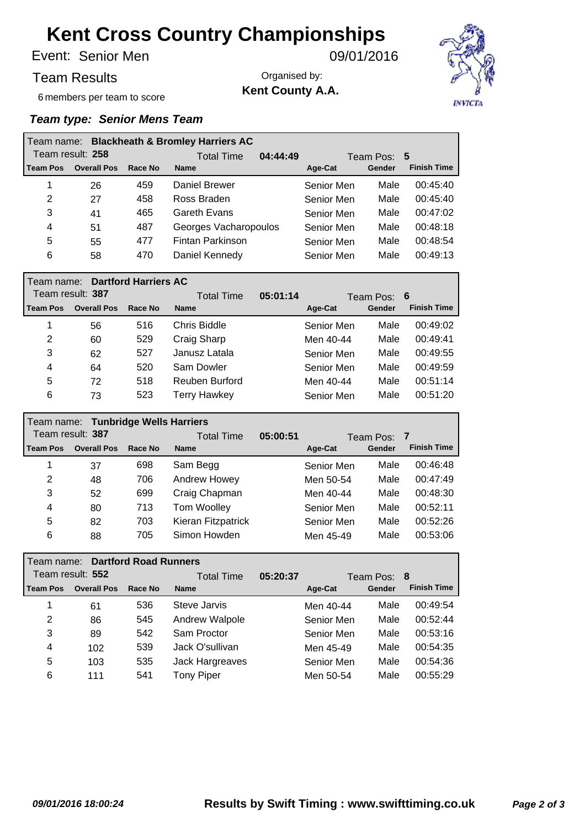Senior Men Event: 09/01/2016

Team Results

Organised by: **Kent County A.A.**



6 members per team to score

| <b>Blackheath &amp; Bromley Harriers AC</b><br>l Team name: |                    |         |                               |             |        |                    |  |  |  |
|-------------------------------------------------------------|--------------------|---------|-------------------------------|-------------|--------|--------------------|--|--|--|
| Team result: 258                                            |                    |         | 04:44:49<br><b>Total Time</b> | Team Pos: 5 |        |                    |  |  |  |
| <b>Team Pos</b>                                             | <b>Overall Pos</b> | Race No | <b>Name</b>                   | Age-Cat     | Gender | <b>Finish Time</b> |  |  |  |
|                                                             | 26                 | 459     | Daniel Brewer                 | Senior Men  | Male   | 00:45:40           |  |  |  |
| 2                                                           | 27                 | 458     | Ross Braden                   | Senior Men  | Male   | 00:45:40           |  |  |  |
| 3                                                           | 41                 | 465     | Gareth Evans                  | Senior Men  | Male   | 00:47:02           |  |  |  |
| 4                                                           | 51                 | 487     | Georges Vacharopoulos         | Senior Men  | Male   | 00:48:18           |  |  |  |
| 5                                                           | 55                 | 477     | Fintan Parkinson              | Senior Men  | Male   | 00:48:54           |  |  |  |
| 6                                                           | 58                 | 470     | Daniel Kennedy                | Senior Men  | Male   | 00:49:13           |  |  |  |

|                  | <b>Dartford Harriers AC</b><br>l Team name: _ |         |                     |          |                  |        |                    |  |  |  |
|------------------|-----------------------------------------------|---------|---------------------|----------|------------------|--------|--------------------|--|--|--|
| Team result: 387 |                                               |         | <b>Total Time</b>   | 05:01:14 | Team Pos:<br>- 6 |        |                    |  |  |  |
| l Team Pos       | <b>Overall Pos</b>                            | Race No | <b>Name</b>         |          | Age-Cat          | Gender | <b>Finish Time</b> |  |  |  |
| 1                | 56                                            | 516     | Chris Biddle        |          | Senior Men       | Male   | 00:49:02           |  |  |  |
| 2                | 60                                            | 529     | Craig Sharp         |          | Men 40-44        | Male   | 00:49:41           |  |  |  |
| 3                | 62                                            | 527     | Janusz Latala       |          | Senior Men       | Male   | 00:49:55           |  |  |  |
| 4                | 64                                            | 520     | Sam Dowler          |          | Senior Men       | Male   | 00:49:59           |  |  |  |
| 5                | 72                                            | 518     | Reuben Burford      |          | Men 40-44        | Male   | 00:51:14           |  |  |  |
| 6                | 73                                            | 523     | <b>Terry Hawkey</b> |          | Senior Men       | Male   | 00:51:20           |  |  |  |

| Team name: Tunbridge Wells Harriers |                    |         |                    |          |                  |        |                    |  |  |
|-------------------------------------|--------------------|---------|--------------------|----------|------------------|--------|--------------------|--|--|
| Team result: 387                    |                    |         | Total Time         | 05:00:51 | Team Pos:<br>- 7 |        |                    |  |  |
| <b>Team Pos</b>                     | <b>Overall Pos</b> | Race No | <b>Name</b>        |          | Age-Cat          | Gender | <b>Finish Time</b> |  |  |
|                                     | 37                 | 698     | Sam Begg           |          | Senior Men       | Male   | 00:46:48           |  |  |
| 2                                   | 48                 | 706     | Andrew Howey       |          | Men 50-54        | Male   | 00:47:49           |  |  |
| 3                                   | 52                 | 699     | Craig Chapman      |          | Men 40-44        | Male   | 00:48:30           |  |  |
| 4                                   | 80                 | 713     | Tom Woolley        |          | Senior Men       | Male   | 00:52:11           |  |  |
| 5                                   | 82                 | 703     | Kieran Fitzpatrick |          | Senior Men       | Male   | 00:52:26           |  |  |
| 6                                   | 88                 | 705     | Simon Howden       |          | Men 45-49        | Male   | 00:53:06           |  |  |

| <b>Dartford Road Runners</b><br>Team name: |                    |         |                   |          |             |        |                    |  |  |
|--------------------------------------------|--------------------|---------|-------------------|----------|-------------|--------|--------------------|--|--|
| Team result: 552                           |                    |         | Total Time        | 05:20:37 | Team Pos: 8 |        |                    |  |  |
| <b>Team Pos</b>                            | <b>Overall Pos</b> | Race No | <b>Name</b>       |          | Age-Cat     | Gender | <b>Finish Time</b> |  |  |
|                                            | 61                 | 536     | Steve Jarvis      |          | Men 40-44   | Male   | 00:49:54           |  |  |
| 2                                          | 86                 | 545     | Andrew Walpole    |          | Senior Men  | Male   | 00:52:44           |  |  |
| 3                                          | 89                 | 542     | Sam Proctor       |          | Senior Men  | Male   | 00:53:16           |  |  |
| 4                                          | 102                | 539     | Jack O'sullivan   |          | Men 45-49   | Male   | 00:54:35           |  |  |
| 5                                          | 103                | 535     | Jack Hargreaves   |          | Senior Men  | Male   | 00:54:36           |  |  |
| 6                                          | 111                | 541     | <b>Tony Piper</b> |          | Men 50-54   | Male   | 00:55:29           |  |  |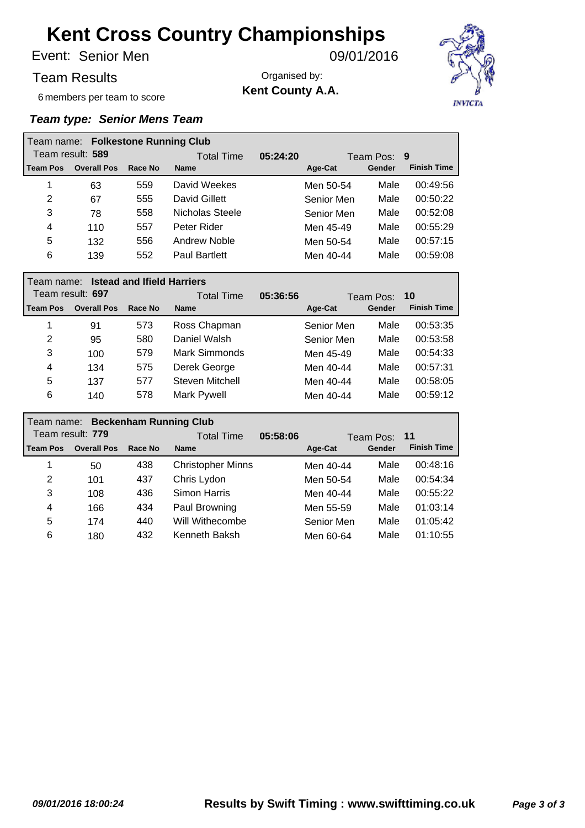Senior Men Event: 09/01/2016

Team Results

Organised by: **Kent County A.A.**



6 members per team to score

|                  | Team name: Folkestone Running Club |            |                      |             |            |        |                    |  |  |  |
|------------------|------------------------------------|------------|----------------------|-------------|------------|--------|--------------------|--|--|--|
| Team result: 589 |                                    | Total Time | 05:24:20             | Team Pos: 9 |            |        |                    |  |  |  |
| <b>Team Pos</b>  | <b>Overall Pos</b>                 | Race No    | <b>Name</b>          |             | Age-Cat    | Gender | <b>Finish Time</b> |  |  |  |
| 1                | 63                                 | 559        | David Weekes         |             | Men 50-54  | Male   | 00:49:56           |  |  |  |
| 2                | 67                                 | 555        | David Gillett        |             | Senior Men | Male   | 00:50:22           |  |  |  |
| 3                | 78                                 | 558        | Nicholas Steele      |             | Senior Men | Male   | 00:52:08           |  |  |  |
| 4                | 110                                | 557        | Peter Rider          |             | Men 45-49  | Male   | 00:55:29           |  |  |  |
| 5                | 132                                | 556        | Andrew Noble         |             | Men 50-54  | Male   | 00:57:15           |  |  |  |
| 6                | 139                                | 552        | <b>Paul Bartlett</b> |             | Men 40-44  | Male   | 00:59:08           |  |  |  |

|                  | <b>Istead and Ifield Harriers</b><br>l Team name: |         |                 |          |                    |        |                    |  |  |  |
|------------------|---------------------------------------------------|---------|-----------------|----------|--------------------|--------|--------------------|--|--|--|
| Team result: 697 |                                                   |         | Total Time      | 05:36:56 | Team Pos:<br>$-10$ |        |                    |  |  |  |
| <b>Team Pos</b>  | <b>Overall Pos</b>                                | Race No | <b>Name</b>     |          | Age-Cat            | Gender | <b>Finish Time</b> |  |  |  |
|                  | 91                                                | 573     | Ross Chapman    |          | Senior Men         | Male   | 00:53:35           |  |  |  |
| 2                | 95                                                | 580     | Daniel Walsh    |          | Senior Men         | Male   | 00:53:58           |  |  |  |
| 3                | 100                                               | 579     | Mark Simmonds   |          | Men 45-49          | Male   | 00:54:33           |  |  |  |
| 4                | 134                                               | 575     | Derek George    |          | Men 40-44          | Male   | 00:57:31           |  |  |  |
| 5                | 137                                               | 577     | Steven Mitchell |          | Men 40-44          | Male   | 00:58:05           |  |  |  |
| 6                | 140                                               | 578     | Mark Pywell     |          | Men 40-44          | Male   | 00:59:12           |  |  |  |

|                  | <b>Beckenham Running Club</b><br>l Team name: |         |                          |          |                   |        |                    |  |  |  |
|------------------|-----------------------------------------------|---------|--------------------------|----------|-------------------|--------|--------------------|--|--|--|
| Team result: 779 |                                               |         | <b>Total Time</b>        | 05:58:06 | Team Pos:<br>- 11 |        |                    |  |  |  |
| l Team Pos       | <b>Overall Pos</b>                            | Race No | <b>Name</b>              |          | Age-Cat           | Gender | <b>Finish Time</b> |  |  |  |
| 1                | 50                                            | 438     | <b>Christopher Minns</b> |          | Men 40-44         | Male   | 00:48:16           |  |  |  |
| 2                | 101                                           | 437     | Chris Lydon              |          | Men 50-54         | Male   | 00:54:34           |  |  |  |
| 3                | 108                                           | 436     | Simon Harris             |          | Men 40-44         | Male   | 00:55:22           |  |  |  |
| 4                | 166                                           | 434     | Paul Browning            |          | Men 55-59         | Male   | 01:03:14           |  |  |  |
| 5                | 174                                           | 440     | Will Withecombe          |          | Senior Men        | Male   | 01:05:42           |  |  |  |
| 6                | 180                                           | 432     | Kenneth Baksh            |          | Men 60-64         | Male   | 01:10:55           |  |  |  |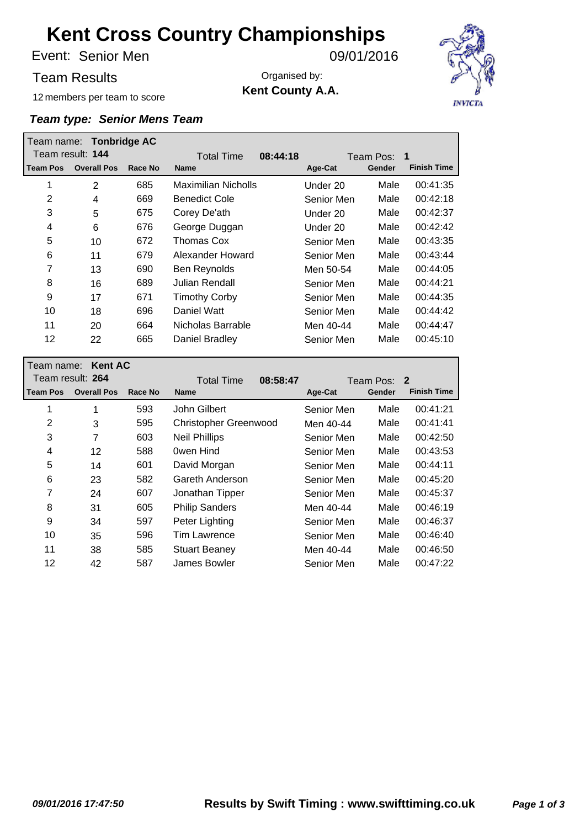Senior Men Event: 09/01/2016

12 members per team to score

Team Results

Organised by: **Kent County A.A.**



|                 | Team name: Tonbridge AC |         |                               |            |                |                    |
|-----------------|-------------------------|---------|-------------------------------|------------|----------------|--------------------|
|                 | Team result: 144        |         | <b>Total Time</b><br>08:44:18 |            | 1<br>Team Pos: |                    |
| <b>Team Pos</b> | <b>Overall Pos</b>      | Race No | <b>Name</b>                   | Age-Cat    | Gender         | <b>Finish Time</b> |
| 1               | $\overline{2}$          | 685     | Maximilian Nicholls           | Under 20   | Male           | 00:41:35           |
| 2               | 4                       | 669     | <b>Benedict Cole</b>          | Senior Men | Male           | 00:42:18           |
| 3               | 5                       | 675     | Corey De'ath                  | Under 20   | Male           | 00:42:37           |
| 4               | 6                       | 676     | George Duggan                 | Under 20   | Male           | 00:42:42           |
| 5               | 10                      | 672     | Thomas Cox                    | Senior Men | Male           | 00:43:35           |
| 6               | 11                      | 679     | Alexander Howard              | Senior Men | Male           | 00:43:44           |
| 7               | 13                      | 690     | Ben Reynolds                  | Men 50-54  | Male           | 00:44:05           |
| 8               | 16                      | 689     | Julian Rendall                | Senior Men | Male           | 00:44:21           |
| 9               | 17                      | 671     | <b>Timothy Corby</b>          | Senior Men | Male           | 00:44:35           |
| 10              | 18                      | 696     | Daniel Watt                   | Senior Men | Male           | 00:44:42           |
| 11              | 20                      | 664     | Nicholas Barrable             | Men 40-44  | Male           | 00:44:47           |
| 12              | 22                      | 665     | Daniel Bradley                | Senior Men | Male           | 00:45:10           |

| <b>Kent AC</b><br>Team name: |                    |         |                              |                                         |        |                    |  |  |
|------------------------------|--------------------|---------|------------------------------|-----------------------------------------|--------|--------------------|--|--|
| Team result: 264             |                    |         | <b>Total Time</b>            | 08:58:47<br>$\overline{2}$<br>Team Pos: |        |                    |  |  |
| <b>Team Pos</b>              | <b>Overall Pos</b> | Race No | <b>Name</b>                  | Age-Cat                                 | Gender | <b>Finish Time</b> |  |  |
| 1                            | 1                  | 593     | John Gilbert                 | Senior Men                              | Male   | 00:41:21           |  |  |
| 2                            | 3                  | 595     | <b>Christopher Greenwood</b> | Men 40-44                               | Male   | 00:41:41           |  |  |
| 3                            | 7                  | 603     | <b>Neil Phillips</b>         | Senior Men                              | Male   | 00:42:50           |  |  |
| 4                            | 12                 | 588     | Owen Hind                    | Senior Men                              | Male   | 00:43:53           |  |  |
| 5                            | 14                 | 601     | David Morgan                 | Senior Men                              | Male   | 00:44:11           |  |  |
| 6                            | 23                 | 582     | Gareth Anderson              | Senior Men                              | Male   | 00:45:20           |  |  |
| 7                            | 24                 | 607     | Jonathan Tipper              | Senior Men                              | Male   | 00:45:37           |  |  |
| 8                            | 31                 | 605     | <b>Philip Sanders</b>        | Men 40-44                               | Male   | 00:46:19           |  |  |
| 9                            | 34                 | 597     | Peter Lighting               | Senior Men                              | Male   | 00:46:37           |  |  |
| 10                           | 35                 | 596     | Tim Lawrence                 | Senior Men                              | Male   | 00:46:40           |  |  |
| 11                           | 38                 | 585     | <b>Stuart Beaney</b>         | Men 40-44                               | Male   | 00:46:50           |  |  |
| 12                           | 42                 | 587     | James Bowler                 | Senior Men                              | Male   | 00:47:22           |  |  |
|                              |                    |         |                              |                                         |        |                    |  |  |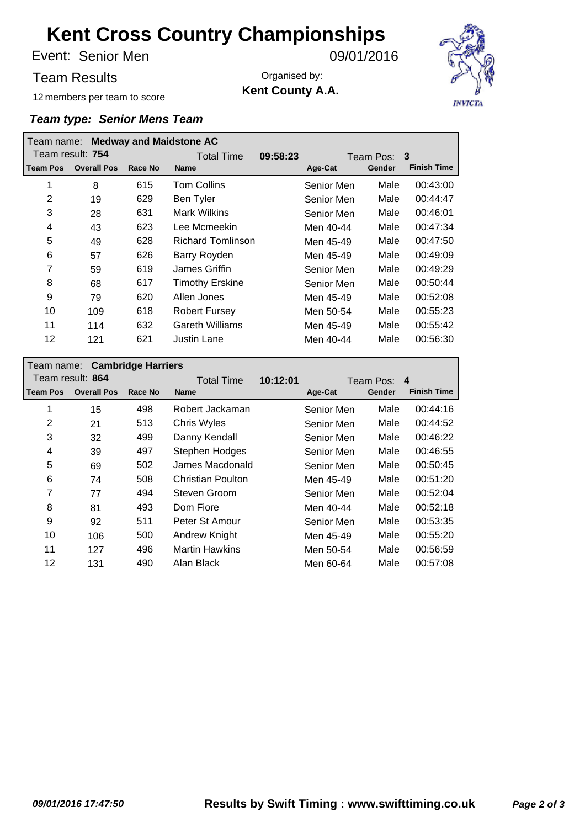Senior Men Event: 09/01/2016

Team Results

Organised by: **Kent County A.A.**



12 members per team to score

| <b>Medway and Maidstone AC</b><br>Team name: |                    |         |                          |          |                 |        |                    |
|----------------------------------------------|--------------------|---------|--------------------------|----------|-----------------|--------|--------------------|
| Team result: 754                             |                    |         | <b>Total Time</b>        | 09:58:23 | -3<br>Team Pos: |        |                    |
| l Team Pos                                   | <b>Overall Pos</b> | Race No | <b>Name</b>              |          | Age-Cat         | Gender | <b>Finish Time</b> |
| 1                                            | 8                  | 615     | <b>Tom Collins</b>       |          | Senior Men      | Male   | 00:43:00           |
| $\overline{2}$                               | 19                 | 629     | Ben Tyler                |          | Senior Men      | Male   | 00:44:47           |
| 3                                            | 28                 | 631     | <b>Mark Wilkins</b>      |          | Senior Men      | Male   | 00:46:01           |
| 4                                            | 43                 | 623     | Lee Mcmeekin             |          | Men 40-44       | Male   | 00:47:34           |
| 5                                            | 49                 | 628     | <b>Richard Tomlinson</b> |          | Men 45-49       | Male   | 00:47:50           |
| 6                                            | 57                 | 626     | Barry Royden             |          | Men 45-49       | Male   | 00:49:09           |
| 7                                            | 59                 | 619     | James Griffin            |          | Senior Men      | Male   | 00:49:29           |
| 8                                            | 68                 | 617     | <b>Timothy Erskine</b>   |          | Senior Men      | Male   | 00:50:44           |
| 9                                            | 79                 | 620     | Allen Jones              |          | Men 45-49       | Male   | 00:52:08           |
| 10                                           | 109                | 618     | <b>Robert Fursey</b>     |          | Men 50-54       | Male   | 00:55:23           |
| 11                                           | 114                | 632     | <b>Gareth Williams</b>   |          | Men 45-49       | Male   | 00:55:42           |
| 12                                           | 121                | 621     | <b>Justin Lane</b>       |          | Men 40-44       | Male   | 00:56:30           |

| Team name: Cambridge Harriers |         |                          |          |                |        |                    |  |
|-------------------------------|---------|--------------------------|----------|----------------|--------|--------------------|--|
| Team result: 864              |         | <b>Total Time</b>        | 10:12:01 | 4<br>Team Pos: |        |                    |  |
| <b>Overall Pos</b>            | Race No | <b>Name</b>              |          | Age-Cat        | Gender | <b>Finish Time</b> |  |
| 15                            | 498     | Robert Jackaman          |          | Senior Men     | Male   | 00:44:16           |  |
| 21                            | 513     | Chris Wyles              |          | Senior Men     | Male   | 00:44:52           |  |
| 32                            | 499     | Danny Kendall            |          | Senior Men     | Male   | 00:46:22           |  |
| 39                            | 497     | Stephen Hodges           |          | Senior Men     | Male   | 00:46:55           |  |
| 69                            | 502     | James Macdonald          |          | Senior Men     | Male   | 00:50:45           |  |
| 74                            | 508     | <b>Christian Poulton</b> |          | Men 45-49      | Male   | 00:51:20           |  |
| 77                            | 494     | Steven Groom             |          | Senior Men     | Male   | 00:52:04           |  |
| 81                            | 493     | Dom Fiore                |          | Men 40-44      | Male   | 00:52:18           |  |
| 92                            | 511     | Peter St Amour           |          | Senior Men     | Male   | 00:53:35           |  |
| 106                           | 500     | Andrew Knight            |          | Men 45-49      | Male   | 00:55:20           |  |
| 127                           | 496     | <b>Martin Hawkins</b>    |          | Men 50-54      | Male   | 00:56:59           |  |
| 131                           | 490     | Alan Black               |          | Men 60-64      | Male   | 00:57:08           |  |
|                               |         |                          |          |                |        |                    |  |